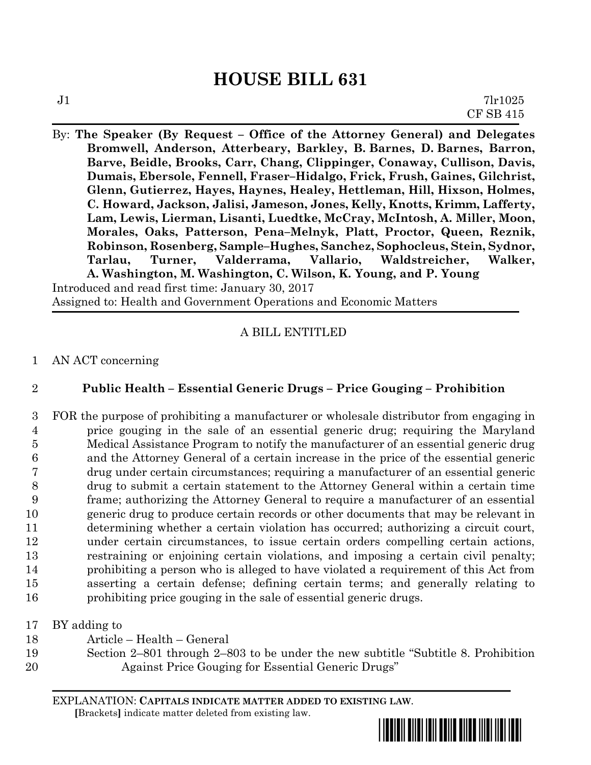# **HOUSE BILL 631**

By: **The Speaker (By Request – Office of the Attorney General) and Delegates Bromwell, Anderson, Atterbeary, Barkley, B. Barnes, D. Barnes, Barron, Barve, Beidle, Brooks, Carr, Chang, Clippinger, Conaway, Cullison, Davis, Dumais, Ebersole, Fennell, Fraser–Hidalgo, Frick, Frush, Gaines, Gilchrist, Glenn, Gutierrez, Hayes, Haynes, Healey, Hettleman, Hill, Hixson, Holmes, C. Howard, Jackson, Jalisi, Jameson, Jones, Kelly, Knotts, Krimm, Lafferty, Lam, Lewis, Lierman, Lisanti, Luedtke, McCray, McIntosh, A. Miller, Moon, Morales, Oaks, Patterson, Pena–Melnyk, Platt, Proctor, Queen, Reznik, Robinson, Rosenberg, Sample–Hughes, Sanchez, Sophocleus, Stein, Sydnor, Tarlau, Turner, Valderrama, Vallario, Waldstreicher, Walker, A. Washington, M. Washington, C. Wilson, K. Young, and P. Young** Introduced and read first time: January 30, 2017

Assigned to: Health and Government Operations and Economic Matters

### A BILL ENTITLED

### 1 AN ACT concerning

## 2 **Public Health – Essential Generic Drugs – Price Gouging – Prohibition**

 FOR the purpose of prohibiting a manufacturer or wholesale distributor from engaging in price gouging in the sale of an essential generic drug; requiring the Maryland Medical Assistance Program to notify the manufacturer of an essential generic drug and the Attorney General of a certain increase in the price of the essential generic drug under certain circumstances; requiring a manufacturer of an essential generic drug to submit a certain statement to the Attorney General within a certain time frame; authorizing the Attorney General to require a manufacturer of an essential generic drug to produce certain records or other documents that may be relevant in determining whether a certain violation has occurred; authorizing a circuit court, under certain circumstances, to issue certain orders compelling certain actions, restraining or enjoining certain violations, and imposing a certain civil penalty; prohibiting a person who is alleged to have violated a requirement of this Act from asserting a certain defense; defining certain terms; and generally relating to prohibiting price gouging in the sale of essential generic drugs.

17 BY adding to

- 18 Article Health General
- 19 Section 2–801 through 2–803 to be under the new subtitle "Subtitle 8. Prohibition 20 Against Price Gouging for Essential Generic Drugs"

EXPLANATION: **CAPITALS INDICATE MATTER ADDED TO EXISTING LAW**.  **[**Brackets**]** indicate matter deleted from existing law.

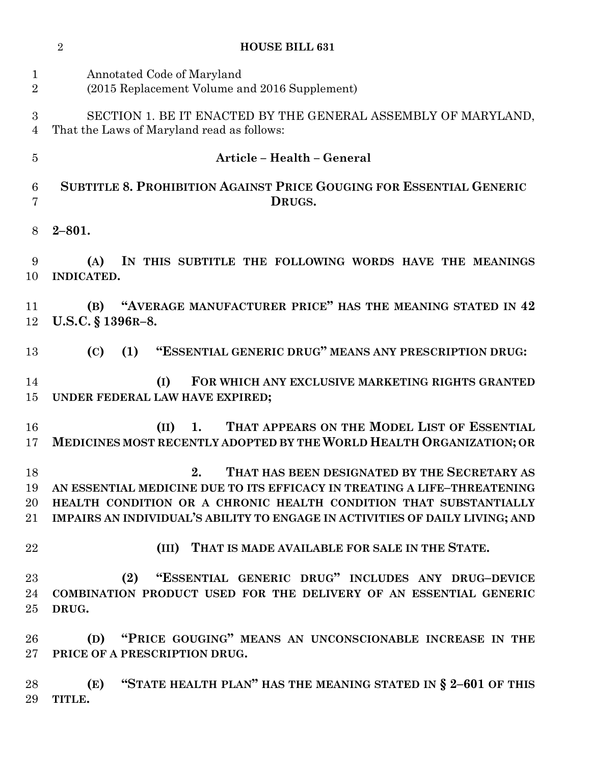|                               | $\overline{2}$<br><b>HOUSE BILL 631</b>                                                                                                                                                                                                                                             |
|-------------------------------|-------------------------------------------------------------------------------------------------------------------------------------------------------------------------------------------------------------------------------------------------------------------------------------|
| $\mathbf 1$<br>$\overline{2}$ | Annotated Code of Maryland<br>(2015 Replacement Volume and 2016 Supplement)                                                                                                                                                                                                         |
| 3<br>$\overline{4}$           | SECTION 1. BE IT ENACTED BY THE GENERAL ASSEMBLY OF MARYLAND,<br>That the Laws of Maryland read as follows:                                                                                                                                                                         |
| $\overline{5}$                | Article - Health - General                                                                                                                                                                                                                                                          |
| 6<br>7                        | <b>SUBTITLE 8. PROHIBITION AGAINST PRICE GOUGING FOR ESSENTIAL GENERIC</b><br>DRUGS.                                                                                                                                                                                                |
| 8                             | $2 - 801.$                                                                                                                                                                                                                                                                          |
| 9<br>10                       | IN THIS SUBTITLE THE FOLLOWING WORDS HAVE THE MEANINGS<br>(A)<br><b>INDICATED.</b>                                                                                                                                                                                                  |
| 11<br>12                      | "AVERAGE MANUFACTURER PRICE" HAS THE MEANING STATED IN 42<br>(B)<br>U.S.C. § 1396R-8.                                                                                                                                                                                               |
| 13                            | "ESSENTIAL GENERIC DRUG" MEANS ANY PRESCRIPTION DRUG:<br>(C)<br>(1)                                                                                                                                                                                                                 |
| 14<br>15                      | (I)<br>FOR WHICH ANY EXCLUSIVE MARKETING RIGHTS GRANTED<br>UNDER FEDERAL LAW HAVE EXPIRED;                                                                                                                                                                                          |
| 16<br>17                      | THAT APPEARS ON THE MODEL LIST OF ESSENTIAL<br>(II)<br>1.<br>MEDICINES MOST RECENTLY ADOPTED BY THE WORLD HEALTH ORGANIZATION; OR                                                                                                                                                   |
| 18<br>19<br>20<br>$21\,$      | THAT HAS BEEN DESIGNATED BY THE SECRETARY AS<br>2.<br>AN ESSENTIAL MEDICINE DUE TO ITS EFFICACY IN TREATING A LIFE-THREATENING<br>HEALTH CONDITION OR A CHRONIC HEALTH CONDITION THAT SUBSTANTIALLY<br>IMPAIRS AN INDIVIDUAL'S ABILITY TO ENGAGE IN ACTIVITIES OF DAILY LIVING; AND |
| 22                            | (III) THAT IS MADE AVAILABLE FOR SALE IN THE STATE.                                                                                                                                                                                                                                 |
| $23\,$<br>24<br>$25\,$        | "ESSENTIAL GENERIC DRUG" INCLUDES ANY DRUG-DEVICE<br>(2)<br>COMBINATION PRODUCT USED FOR THE DELIVERY OF AN ESSENTIAL GENERIC<br>DRUG.                                                                                                                                              |
| 26<br>$27\,$                  | "PRICE GOUGING" MEANS AN UNCONSCIONABLE INCREASE IN THE<br>(D)<br>PRICE OF A PRESCRIPTION DRUG.                                                                                                                                                                                     |
| 28<br>29                      | "STATE HEALTH PLAN" HAS THE MEANING STATED IN § 2-601 OF THIS<br>(E)<br>TITLE.                                                                                                                                                                                                      |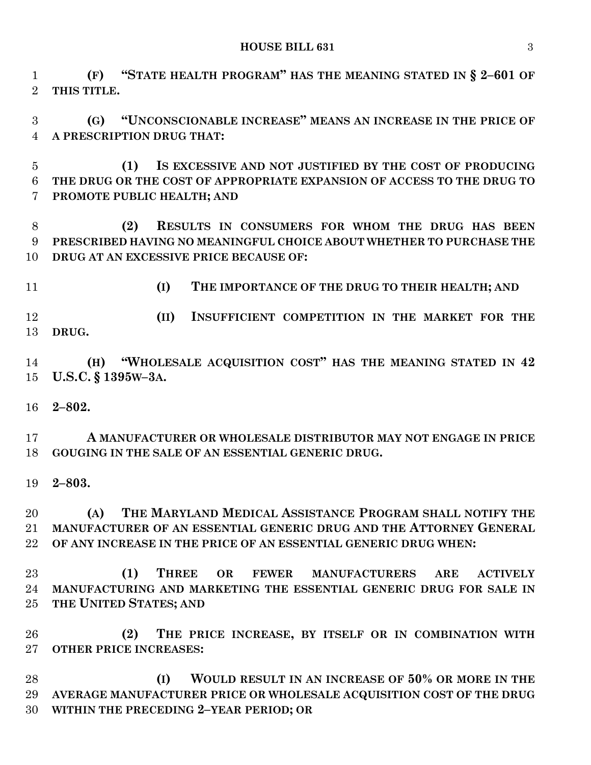#### **HOUSE BILL 631** 3

 **(F) "STATE HEALTH PROGRAM" HAS THE MEANING STATED IN § 2–601 OF THIS TITLE.**

 **(G) "UNCONSCIONABLE INCREASE" MEANS AN INCREASE IN THE PRICE OF A PRESCRIPTION DRUG THAT:**

 **(1) IS EXCESSIVE AND NOT JUSTIFIED BY THE COST OF PRODUCING THE DRUG OR THE COST OF APPROPRIATE EXPANSION OF ACCESS TO THE DRUG TO PROMOTE PUBLIC HEALTH; AND**

 **(2) RESULTS IN CONSUMERS FOR WHOM THE DRUG HAS BEEN PRESCRIBED HAVING NO MEANINGFUL CHOICE ABOUT WHETHER TO PURCHASE THE DRUG AT AN EXCESSIVE PRICE BECAUSE OF:**

**(I) THE IMPORTANCE OF THE DRUG TO THEIR HEALTH; AND**

 **(II) INSUFFICIENT COMPETITION IN THE MARKET FOR THE DRUG.**

 **(H) "WHOLESALE ACQUISITION COST" HAS THE MEANING STATED IN 42 U.S.C. § 1395W–3A.**

**2–802.**

 **A MANUFACTURER OR WHOLESALE DISTRIBUTOR MAY NOT ENGAGE IN PRICE GOUGING IN THE SALE OF AN ESSENTIAL GENERIC DRUG.**

**2–803.**

 **(A) THE MARYLAND MEDICAL ASSISTANCE PROGRAM SHALL NOTIFY THE MANUFACTURER OF AN ESSENTIAL GENERIC DRUG AND THE ATTORNEY GENERAL OF ANY INCREASE IN THE PRICE OF AN ESSENTIAL GENERIC DRUG WHEN:**

 **(1) THREE OR FEWER MANUFACTURERS ARE ACTIVELY MANUFACTURING AND MARKETING THE ESSENTIAL GENERIC DRUG FOR SALE IN THE UNITED STATES; AND**

 **(2) THE PRICE INCREASE, BY ITSELF OR IN COMBINATION WITH OTHER PRICE INCREASES:**

 **(I) WOULD RESULT IN AN INCREASE OF 50% OR MORE IN THE AVERAGE MANUFACTURER PRICE OR WHOLESALE ACQUISITION COST OF THE DRUG WITHIN THE PRECEDING 2–YEAR PERIOD; OR**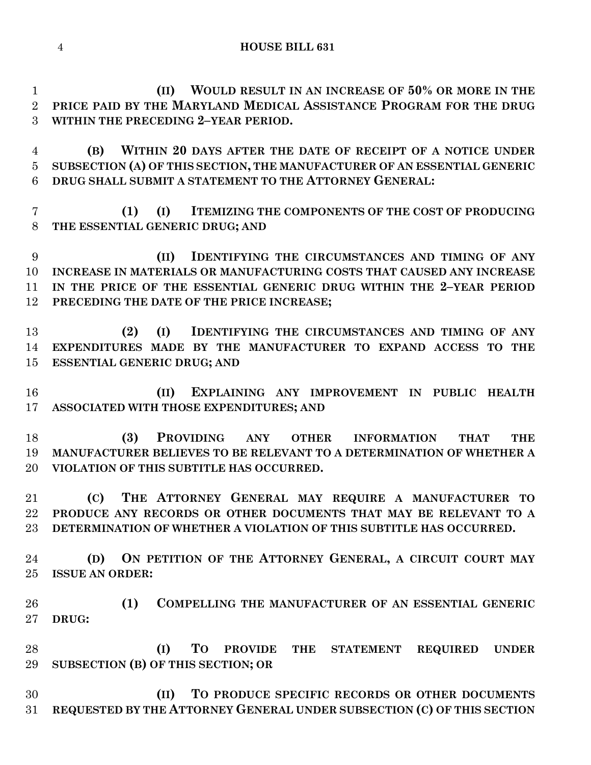**HOUSE BILL 631**

 **(II) WOULD RESULT IN AN INCREASE OF 50% OR MORE IN THE PRICE PAID BY THE MARYLAND MEDICAL ASSISTANCE PROGRAM FOR THE DRUG WITHIN THE PRECEDING 2–YEAR PERIOD.**

 **(B) WITHIN 20 DAYS AFTER THE DATE OF RECEIPT OF A NOTICE UNDER SUBSECTION (A) OF THIS SECTION, THE MANUFACTURER OF AN ESSENTIAL GENERIC DRUG SHALL SUBMIT A STATEMENT TO THE ATTORNEY GENERAL:**

 **(1) (I) ITEMIZING THE COMPONENTS OF THE COST OF PRODUCING THE ESSENTIAL GENERIC DRUG; AND** 

 **(II) IDENTIFYING THE CIRCUMSTANCES AND TIMING OF ANY INCREASE IN MATERIALS OR MANUFACTURING COSTS THAT CAUSED ANY INCREASE IN THE PRICE OF THE ESSENTIAL GENERIC DRUG WITHIN THE 2–YEAR PERIOD PRECEDING THE DATE OF THE PRICE INCREASE;**

 **(2) (I) IDENTIFYING THE CIRCUMSTANCES AND TIMING OF ANY EXPENDITURES MADE BY THE MANUFACTURER TO EXPAND ACCESS TO THE ESSENTIAL GENERIC DRUG; AND**

 **(II) EXPLAINING ANY IMPROVEMENT IN PUBLIC HEALTH ASSOCIATED WITH THOSE EXPENDITURES; AND**

 **(3) PROVIDING ANY OTHER INFORMATION THAT THE MANUFACTURER BELIEVES TO BE RELEVANT TO A DETERMINATION OF WHETHER A VIOLATION OF THIS SUBTITLE HAS OCCURRED.**

 **(C) THE ATTORNEY GENERAL MAY REQUIRE A MANUFACTURER TO PRODUCE ANY RECORDS OR OTHER DOCUMENTS THAT MAY BE RELEVANT TO A DETERMINATION OF WHETHER A VIOLATION OF THIS SUBTITLE HAS OCCURRED.**

 **(D) ON PETITION OF THE ATTORNEY GENERAL, A CIRCUIT COURT MAY ISSUE AN ORDER:**

 **(1) COMPELLING THE MANUFACTURER OF AN ESSENTIAL GENERIC DRUG:**

 **(I) TO PROVIDE THE STATEMENT REQUIRED UNDER SUBSECTION (B) OF THIS SECTION; OR**

 **(II) TO PRODUCE SPECIFIC RECORDS OR OTHER DOCUMENTS REQUESTED BY THE ATTORNEY GENERAL UNDER SUBSECTION (C) OF THIS SECTION**